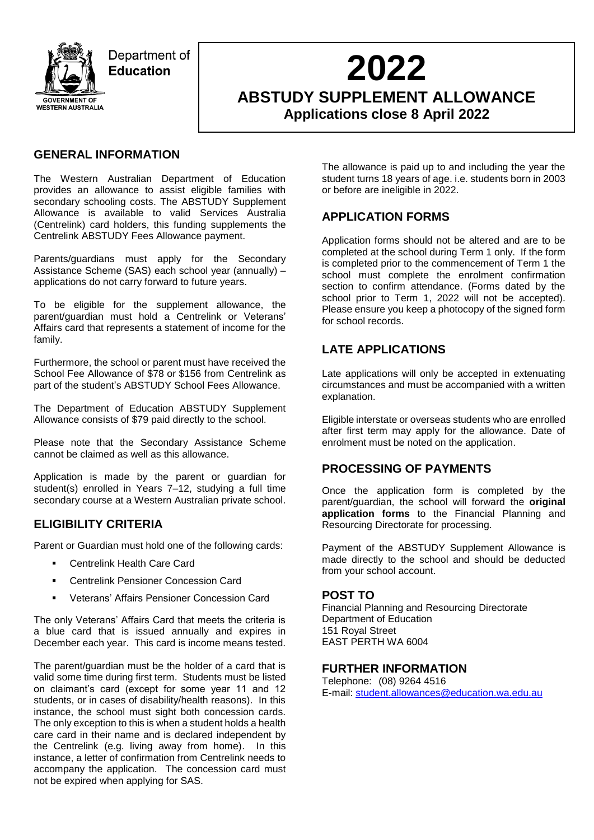

Department of **Education** 

# **2022**

**ABSTUDY SUPPLEMENT ALLOWANCE Applications close 8 April 2022**

## **GENERAL INFORMATION**

The Western Australian Department of Education provides an allowance to assist eligible families with secondary schooling costs. The ABSTUDY Supplement Allowance is available to valid Services Australia (Centrelink) card holders, this funding supplements the Centrelink ABSTUDY Fees Allowance payment.

Parents/guardians must apply for the Secondary Assistance Scheme (SAS) each school year (annually) – applications do not carry forward to future years.

To be eligible for the supplement allowance, the parent/guardian must hold a Centrelink or Veterans' Affairs card that represents a statement of income for the family.

Furthermore, the school or parent must have received the School Fee Allowance of \$78 or \$156 from Centrelink as part of the student's ABSTUDY School Fees Allowance.

The Department of Education ABSTUDY Supplement Allowance consists of \$79 paid directly to the school.

Please note that the Secondary Assistance Scheme cannot be claimed as well as this allowance.

Application is made by the parent or guardian for student(s) enrolled in Years 7–12, studying a full time secondary course at a Western Australian private school.

## **ELIGIBILITY CRITERIA**

Parent or Guardian must hold one of the following cards:

- Centrelink Health Care Card
- **E.** Centrelink Pensioner Concession Card
- Veterans' Affairs Pensioner Concession Card

The only Veterans' Affairs Card that meets the criteria is a blue card that is issued annually and expires in December each year. This card is income means tested.

The parent/guardian must be the holder of a card that is valid some time during first term. Students must be listed on claimant's card (except for some year 11 and 12 students, or in cases of disability/health reasons). In this instance, the school must sight both concession cards. The only exception to this is when a student holds a health care card in their name and is declared independent by the Centrelink (e.g. living away from home). In this instance, a letter of confirmation from Centrelink needs to accompany the application. The concession card must not be expired when applying for SAS.

The allowance is paid up to and including the year the student turns 18 years of age. i.e. students born in 2003 or before are ineligible in 2022.

## **APPLICATION FORMS**

Application forms should not be altered and are to be completed at the school during Term 1 only. If the form is completed prior to the commencement of Term 1 the school must complete the enrolment confirmation section to confirm attendance. (Forms dated by the school prior to Term 1, 2022 will not be accepted). Please ensure you keep a photocopy of the signed form for school records.

# **LATE APPLICATIONS**

Late applications will only be accepted in extenuating circumstances and must be accompanied with a written explanation.

Eligible interstate or overseas students who are enrolled after first term may apply for the allowance. Date of enrolment must be noted on the application.

### **PROCESSING OF PAYMENTS**

Once the application form is completed by the parent/guardian, the school will forward the **original application forms** to the Financial Planning and Resourcing Directorate for processing.

Payment of the ABSTUDY Supplement Allowance is made directly to the school and should be deducted from your school account.

### **POST TO**

Financial Planning and Resourcing Directorate Department of Education 151 Royal Street EAST PERTH WA 6004

### **FURTHER INFORMATION**

Telephone: (08) 9264 4516 E-mail: [student.allowances@education.wa.edu.au](mailto:student.allowances@education.wa.edu.au)